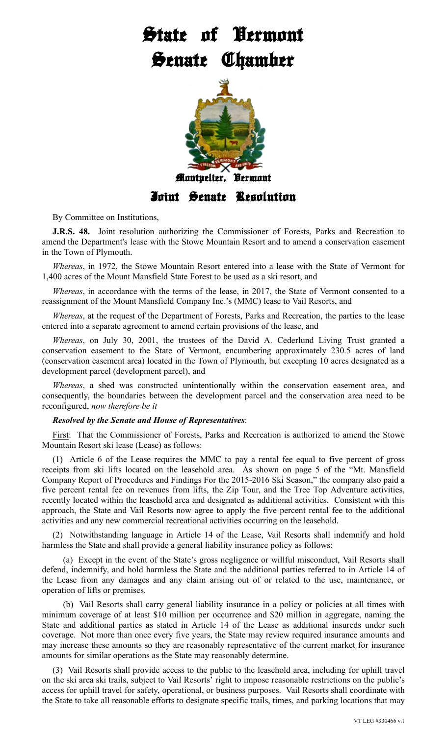## **State of Vermont Senate Chamber**



By Committee on Institutions,

**J.R.S. 48.** Joint resolution authorizing the Commissioner of Forests, Parks and Recreation to amend the Department's lease with the Stowe Mountain Resort and to amend a conservation easement in the Town of Plymouth.

*Whereas*, in 1972, the Stowe Mountain Resort entered into a lease with the State of Vermont for 1,400 acres of the Mount Mansfield State Forest to be used as a ski resort, and

*Whereas*, in accordance with the terms of the lease, in 2017, the State of Vermont consented to a reassignment of the Mount Mansfield Company Inc.'s (MMC) lease to Vail Resorts, and

*Whereas*, at the request of the Department of Forests, Parks and Recreation, the parties to the lease entered into a separate agreement to amend certain provisions of the lease, and

*Whereas*, on July 30, 2001, the trustees of the David A. Cederlund Living Trust granted a conservation easement to the State of Vermont, encumbering approximately 230.5 acres of land (conservation easement area) located in the Town of Plymouth, but excepting 10 acres designated as a development parcel (development parcel), and

*Whereas*, a shed was constructed unintentionally within the conservation easement area, and consequently, the boundaries between the development parcel and the conservation area need to be reconfigured, *now therefore be it*

## *Resolved by the Senate and House of Representatives*:

First: That the Commissioner of Forests, Parks and Recreation is authorized to amend the Stowe Mountain Resort ski lease (Lease) as follows:

(1) Article 6 of the Lease requires the MMC to pay a rental fee equal to five percent of gross receipts from ski lifts located on the leasehold area. As shown on page 5 of the "Mt. Mansfield Company Report of Procedures and Findings For the 2015-2016 Ski Season," the company also paid a five percent rental fee on revenues from lifts, the Zip Tour, and the Tree Top Adventure activities, recently located within the leasehold area and designated as additional activities. Consistent with this approach, the State and Vail Resorts now agree to apply the five percent rental fee to the additional activities and any new commercial recreational activities occurring on the leasehold.

(2) Notwithstanding language in Article 14 of the Lease, Vail Resorts shall indemnify and hold harmless the State and shall provide a general liability insurance policy as follows:

(a) Except in the event of the State's gross negligence or willful misconduct, Vail Resorts shall defend, indemnify, and hold harmless the State and the additional parties referred to in Article 14 of the Lease from any damages and any claim arising out of or related to the use, maintenance, or operation of lifts or premises.

(b) Vail Resorts shall carry general liability insurance in a policy or policies at all times with minimum coverage of at least \$10 million per occurrence and \$20 million in aggregate, naming the State and additional parties as stated in Article 14 of the Lease as additional insureds under such coverage. Not more than once every five years, the State may review required insurance amounts and may increase these amounts so they are reasonably representative of the current market for insurance amounts for similar operations as the State may reasonably determine.

(3) Vail Resorts shall provide access to the public to the leasehold area, including for uphill travel on the ski area ski trails, subject to Vail Resorts' right to impose reasonable restrictions on the public's access for uphill travel for safety, operational, or business purposes. Vail Resorts shall coordinate with the State to take all reasonable efforts to designate specific trails, times, and parking locations that may